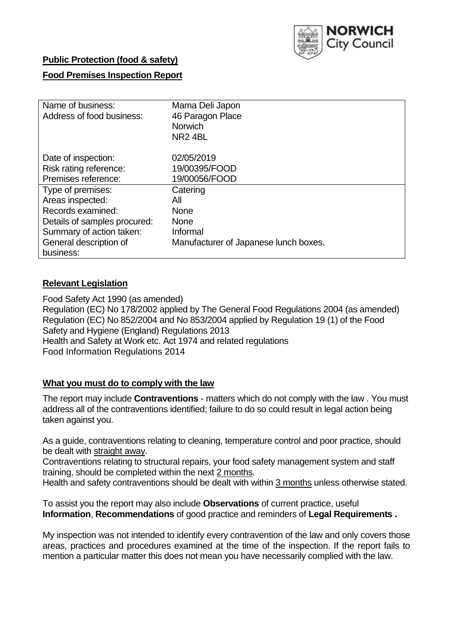

## **Public Protection (food & safety)**

## **Food Premises Inspection Report**

| Name of business:            | Mama Deli Japon                       |
|------------------------------|---------------------------------------|
| Address of food business:    | 46 Paragon Place                      |
|                              | <b>Norwich</b>                        |
|                              | NR <sub>24BL</sub>                    |
|                              |                                       |
| Date of inspection:          | 02/05/2019                            |
| Risk rating reference:       | 19/00395/FOOD                         |
| Premises reference:          | 19/00056/FOOD                         |
| Type of premises:            | Catering                              |
| Areas inspected:             | All                                   |
| Records examined:            | <b>None</b>                           |
| Details of samples procured: | <b>None</b>                           |
| Summary of action taken:     | Informal                              |
| General description of       | Manufacturer of Japanese lunch boxes. |
| business:                    |                                       |

## **Relevant Legislation**

Food Safety Act 1990 (as amended) Regulation (EC) No 178/2002 applied by The General Food Regulations 2004 (as amended) Regulation (EC) No 852/2004 and No 853/2004 applied by Regulation 19 (1) of the Food Safety and Hygiene (England) Regulations 2013 Health and Safety at Work etc. Act 1974 and related regulations Food Information Regulations 2014

## **What you must do to comply with the law**

The report may include **Contraventions** - matters which do not comply with the law . You must address all of the contraventions identified; failure to do so could result in legal action being taken against you.

As a guide, contraventions relating to cleaning, temperature control and poor practice, should be dealt with straight away.

Contraventions relating to structural repairs, your food safety management system and staff training, should be completed within the next 2 months.

Health and safety contraventions should be dealt with within 3 months unless otherwise stated.

To assist you the report may also include **Observations** of current practice, useful **Information**, **Recommendations** of good practice and reminders of **Legal Requirements .**

My inspection was not intended to identify every contravention of the law and only covers those areas, practices and procedures examined at the time of the inspection. If the report fails to mention a particular matter this does not mean you have necessarily complied with the law.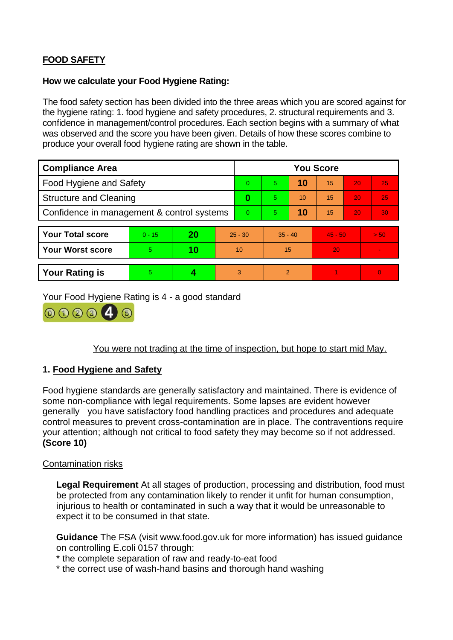# **FOOD SAFETY**

### **How we calculate your Food Hygiene Rating:**

The food safety section has been divided into the three areas which you are scored against for the hygiene rating: 1. food hygiene and safety procedures, 2. structural requirements and 3. confidence in management/control procedures. Each section begins with a summary of what was observed and the score you have been given. Details of how these scores combine to produce your overall food hygiene rating are shown in the table.

| <b>Compliance Area</b>                     |          |    |           | <b>You Score</b> |           |    |           |    |                |  |  |
|--------------------------------------------|----------|----|-----------|------------------|-----------|----|-----------|----|----------------|--|--|
| Food Hygiene and Safety                    |          |    |           | $\Omega$         | 5.        | 10 | 15        | 20 | 25             |  |  |
| <b>Structure and Cleaning</b>              |          |    |           | $\bf{0}$         | 5.        | 10 | 15        | 20 | 25             |  |  |
| Confidence in management & control systems |          |    | $\Omega$  | $\overline{5}$   | 10        | 15 | 20        | 30 |                |  |  |
|                                            |          |    |           |                  |           |    |           |    |                |  |  |
| <b>Your Total score</b>                    | $0 - 15$ | 20 | $25 - 30$ |                  | $35 - 40$ |    | $45 - 50$ |    | > 50           |  |  |
| Your Worst score                           | 5.       | 10 | 10        |                  | 15        |    | 20        |    | $\blacksquare$ |  |  |
|                                            |          |    |           |                  |           |    |           |    |                |  |  |
| <b>Your Rating is</b>                      | 5        |    |           | 3                | 2         |    |           |    | $\overline{0}$ |  |  |

Your Food Hygiene Rating is 4 - a good standard



You were not trading at the time of inspection, but hope to start mid May.

## **1. Food Hygiene and Safety**

Food hygiene standards are generally satisfactory and maintained. There is evidence of some non-compliance with legal requirements. Some lapses are evident however generally you have satisfactory food handling practices and procedures and adequate control measures to prevent cross-contamination are in place. The contraventions require your attention; although not critical to food safety they may become so if not addressed. **(Score 10)**

## Contamination risks

**Legal Requirement** At all stages of production, processing and distribution, food must be protected from any contamination likely to render it unfit for human consumption, injurious to health or contaminated in such a way that it would be unreasonable to expect it to be consumed in that state.

**Guidance** The FSA (visit www.food.gov.uk for more information) has issued guidance on controlling E.coli 0157 through:

\* the complete separation of raw and ready-to-eat food

\* the correct use of wash-hand basins and thorough hand washing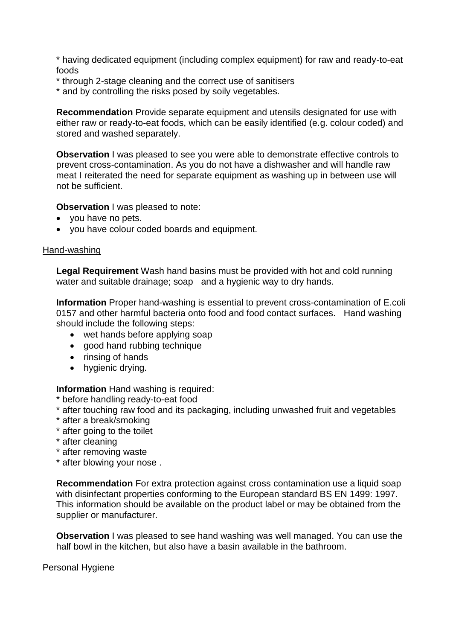\* having dedicated equipment (including complex equipment) for raw and ready-to-eat foods

- \* through 2-stage cleaning and the correct use of sanitisers
- \* and by controlling the risks posed by soily vegetables.

**Recommendation** Provide separate equipment and utensils designated for use with either raw or ready-to-eat foods, which can be easily identified (e.g. colour coded) and stored and washed separately.

**Observation** I was pleased to see you were able to demonstrate effective controls to prevent cross-contamination. As you do not have a dishwasher and will handle raw meat I reiterated the need for separate equipment as washing up in between use will not be sufficient.

**Observation** I was pleased to note:

- you have no pets.
- you have colour coded boards and equipment.

#### Hand-washing

**Legal Requirement** Wash hand basins must be provided with hot and cold running water and suitable drainage; soap and a hygienic way to dry hands.

**Information** Proper hand-washing is essential to prevent cross-contamination of E.coli 0157 and other harmful bacteria onto food and food contact surfaces. Hand washing should include the following steps:

- wet hands before applying soap
- good hand rubbing technique
- $\bullet$  rinsing of hands
- hygienic drying.

**Information** Hand washing is required:

- \* before handling ready-to-eat food
- \* after touching raw food and its packaging, including unwashed fruit and vegetables
- \* after a break/smoking
- \* after going to the toilet
- \* after cleaning
- \* after removing waste
- \* after blowing your nose .

**Recommendation** For extra protection against cross contamination use a liquid soap with disinfectant properties conforming to the European standard BS EN 1499: 1997. This information should be available on the product label or may be obtained from the supplier or manufacturer.

**Observation** I was pleased to see hand washing was well managed. You can use the half bowl in the kitchen, but also have a basin available in the bathroom.

#### Personal Hygiene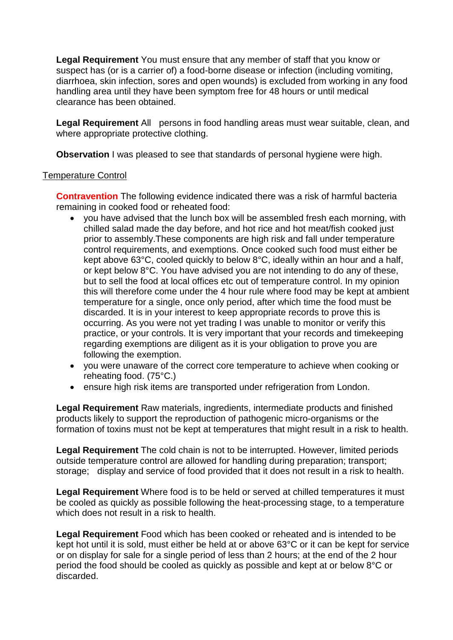**Legal Requirement** You must ensure that any member of staff that you know or suspect has (or is a carrier of) a food-borne disease or infection (including vomiting, diarrhoea, skin infection, sores and open wounds) is excluded from working in any food handling area until they have been symptom free for 48 hours or until medical clearance has been obtained.

**Legal Requirement** All persons in food handling areas must wear suitable, clean, and where appropriate protective clothing.

**Observation** I was pleased to see that standards of personal hygiene were high.

## Temperature Control

**Contravention** The following evidence indicated there was a risk of harmful bacteria remaining in cooked food or reheated food:

- you have advised that the lunch box will be assembled fresh each morning, with chilled salad made the day before, and hot rice and hot meat/fish cooked just prior to assembly.These components are high risk and fall under temperature control requirements, and exemptions. Once cooked such food must either be kept above 63°C, cooled quickly to below 8°C, ideally within an hour and a half, or kept below 8°C. You have advised you are not intending to do any of these, but to sell the food at local offices etc out of temperature control. In my opinion this will therefore come under the 4 hour rule where food may be kept at ambient temperature for a single, once only period, after which time the food must be discarded. It is in your interest to keep appropriate records to prove this is occurring. As you were not yet trading I was unable to monitor or verify this practice, or your controls. It is very important that your records and timekeeping regarding exemptions are diligent as it is your obligation to prove you are following the exemption.
- you were unaware of the correct core temperature to achieve when cooking or reheating food. (75°C.)
- ensure high risk items are transported under refrigeration from London.

**Legal Requirement** Raw materials, ingredients, intermediate products and finished products likely to support the reproduction of pathogenic micro-organisms or the formation of toxins must not be kept at temperatures that might result in a risk to health.

**Legal Requirement** The cold chain is not to be interrupted. However, limited periods outside temperature control are allowed for handling during preparation; transport; storage; display and service of food provided that it does not result in a risk to health.

**Legal Requirement** Where food is to be held or served at chilled temperatures it must be cooled as quickly as possible following the heat-processing stage, to a temperature which does not result in a risk to health.

**Legal Requirement** Food which has been cooked or reheated and is intended to be kept hot until it is sold, must either be held at or above 63°C or it can be kept for service or on display for sale for a single period of less than 2 hours; at the end of the 2 hour period the food should be cooled as quickly as possible and kept at or below 8°C or discarded.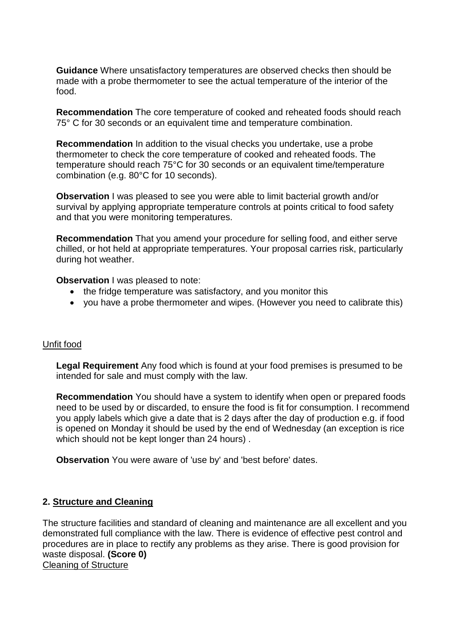**Guidance** Where unsatisfactory temperatures are observed checks then should be made with a probe thermometer to see the actual temperature of the interior of the food.

**Recommendation** The core temperature of cooked and reheated foods should reach 75° C for 30 seconds or an equivalent time and temperature combination.

**Recommendation** In addition to the visual checks you undertake, use a probe thermometer to check the core temperature of cooked and reheated foods. The temperature should reach 75°C for 30 seconds or an equivalent time/temperature combination (e.g. 80°C for 10 seconds).

**Observation** I was pleased to see you were able to limit bacterial growth and/or survival by applying appropriate temperature controls at points critical to food safety and that you were monitoring temperatures.

**Recommendation** That you amend your procedure for selling food, and either serve chilled, or hot held at appropriate temperatures. Your proposal carries risk, particularly during hot weather.

**Observation** I was pleased to note:

- the fridge temperature was satisfactory, and you monitor this
- you have a probe thermometer and wipes. (However you need to calibrate this)

## Unfit food

**Legal Requirement** Any food which is found at your food premises is presumed to be intended for sale and must comply with the law.

**Recommendation** You should have a system to identify when open or prepared foods need to be used by or discarded, to ensure the food is fit for consumption. I recommend you apply labels which give a date that is 2 days after the day of production e.g. if food is opened on Monday it should be used by the end of Wednesday (an exception is rice which should not be kept longer than 24 hours) .

**Observation** You were aware of 'use by' and 'best before' dates.

## **2. Structure and Cleaning**

The structure facilities and standard of cleaning and maintenance are all excellent and you demonstrated full compliance with the law. There is evidence of effective pest control and procedures are in place to rectify any problems as they arise. There is good provision for waste disposal. **(Score 0)** Cleaning of Structure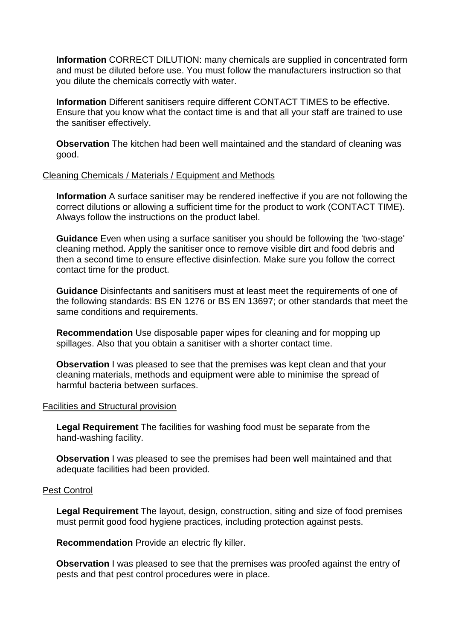**Information** CORRECT DILUTION: many chemicals are supplied in concentrated form and must be diluted before use. You must follow the manufacturers instruction so that you dilute the chemicals correctly with water.

**Information** Different sanitisers require different CONTACT TIMES to be effective. Ensure that you know what the contact time is and that all your staff are trained to use the sanitiser effectively.

**Observation** The kitchen had been well maintained and the standard of cleaning was good.

#### Cleaning Chemicals / Materials / Equipment and Methods

**Information** A surface sanitiser may be rendered ineffective if you are not following the correct dilutions or allowing a sufficient time for the product to work (CONTACT TIME). Always follow the instructions on the product label.

**Guidance** Even when using a surface sanitiser you should be following the 'two-stage' cleaning method. Apply the sanitiser once to remove visible dirt and food debris and then a second time to ensure effective disinfection. Make sure you follow the correct contact time for the product.

**Guidance** Disinfectants and sanitisers must at least meet the requirements of one of the following standards: BS EN 1276 or BS EN 13697; or other standards that meet the same conditions and requirements.

**Recommendation** Use disposable paper wipes for cleaning and for mopping up spillages. Also that you obtain a sanitiser with a shorter contact time.

**Observation** I was pleased to see that the premises was kept clean and that your cleaning materials, methods and equipment were able to minimise the spread of harmful bacteria between surfaces.

#### Facilities and Structural provision

**Legal Requirement** The facilities for washing food must be separate from the hand-washing facility.

**Observation** I was pleased to see the premises had been well maintained and that adequate facilities had been provided.

#### Pest Control

**Legal Requirement** The layout, design, construction, siting and size of food premises must permit good food hygiene practices, including protection against pests.

**Recommendation** Provide an electric fly killer.

**Observation** I was pleased to see that the premises was proofed against the entry of pests and that pest control procedures were in place.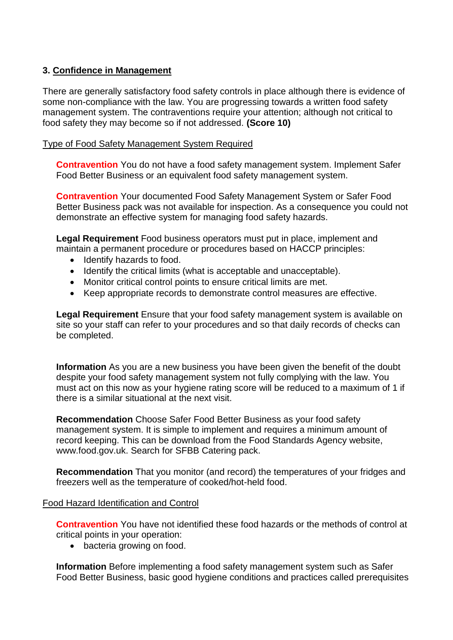## **3. Confidence in Management**

There are generally satisfactory food safety controls in place although there is evidence of some non-compliance with the law. You are progressing towards a written food safety management system. The contraventions require your attention; although not critical to food safety they may become so if not addressed. **(Score 10)**

## Type of Food Safety Management System Required

**Contravention** You do not have a food safety management system. Implement Safer Food Better Business or an equivalent food safety management system.

**Contravention** Your documented Food Safety Management System or Safer Food Better Business pack was not available for inspection. As a consequence you could not demonstrate an effective system for managing food safety hazards.

**Legal Requirement** Food business operators must put in place, implement and maintain a permanent procedure or procedures based on HACCP principles:

- Identify hazards to food.
- Identify the critical limits (what is acceptable and unacceptable).
- Monitor critical control points to ensure critical limits are met.
- Keep appropriate records to demonstrate control measures are effective.

**Legal Requirement** Ensure that your food safety management system is available on site so your staff can refer to your procedures and so that daily records of checks can be completed.

**Information** As you are a new business you have been given the benefit of the doubt despite your food safety management system not fully complying with the law. You must act on this now as your hygiene rating score will be reduced to a maximum of 1 if there is a similar situational at the next visit.

**Recommendation** Choose Safer Food Better Business as your food safety management system. It is simple to implement and requires a minimum amount of record keeping. This can be download from the Food Standards Agency website, www.food.gov.uk. Search for SFBB Catering pack.

**Recommendation** That you monitor (and record) the temperatures of your fridges and freezers well as the temperature of cooked/hot-held food.

## Food Hazard Identification and Control

**Contravention** You have not identified these food hazards or the methods of control at critical points in your operation:

• bacteria growing on food.

**Information** Before implementing a food safety management system such as Safer Food Better Business, basic good hygiene conditions and practices called prerequisites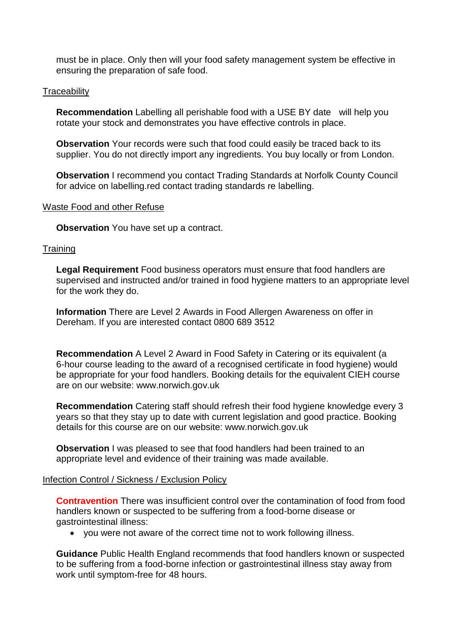must be in place. Only then will your food safety management system be effective in ensuring the preparation of safe food.

#### **Traceability**

**Recommendation** Labelling all perishable food with a USE BY date will help you rotate your stock and demonstrates you have effective controls in place.

**Observation** Your records were such that food could easily be traced back to its supplier. You do not directly import any ingredients. You buy locally or from London.

**Observation** I recommend you contact Trading Standards at Norfolk County Council for advice on labelling.red contact trading standards re labelling.

#### Waste Food and other Refuse

**Observation** You have set up a contract.

#### **Training**

**Legal Requirement** Food business operators must ensure that food handlers are supervised and instructed and/or trained in food hygiene matters to an appropriate level for the work they do.

**Information** There are Level 2 Awards in Food Allergen Awareness on offer in Dereham. If you are interested contact 0800 689 3512

**Recommendation** A Level 2 Award in Food Safety in Catering or its equivalent (a 6-hour course leading to the award of a recognised certificate in food hygiene) would be appropriate for your food handlers. Booking details for the equivalent CIEH course are on our website: www.norwich.gov.uk

**Recommendation** Catering staff should refresh their food hygiene knowledge every 3 years so that they stay up to date with current legislation and good practice. Booking details for this course are on our website: www.norwich.gov.uk

**Observation** I was pleased to see that food handlers had been trained to an appropriate level and evidence of their training was made available.

#### Infection Control / Sickness / Exclusion Policy

**Contravention** There was insufficient control over the contamination of food from food handlers known or suspected to be suffering from a food-borne disease or gastrointestinal illness:

you were not aware of the correct time not to work following illness.

**Guidance** Public Health England recommends that food handlers known or suspected to be suffering from a food-borne infection or gastrointestinal illness stay away from work until symptom-free for 48 hours.